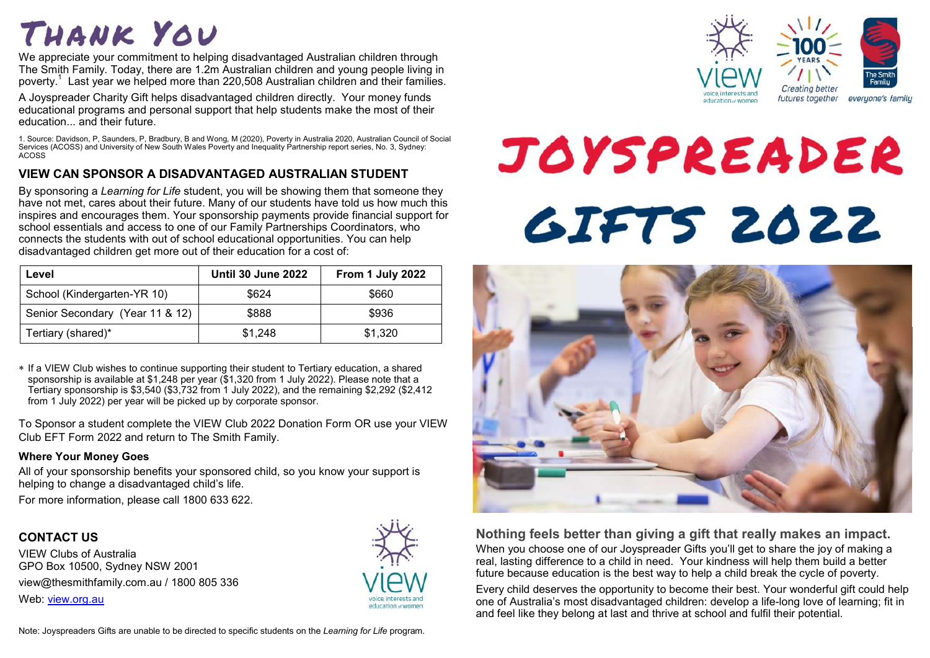## THANK YOU

We appreciate your commitment to helping disadvantaged Australian children through The Smith Family. Today, there are 1.2m Australian children and young people living in poverty.<sup>1</sup> Last year we helped more than 220,508 Australian children and their families.

A Joyspreader Charity Gift helps disadvantaged children directly. Your money funds educational programs and personal support that help students make the most of their education... and their future.

1. Source: Davidson, P, Saunders, P, Bradbury, B and Wong, M (2020), Poverty in Australia 2020, Australian Council of Social Services (ACOSS) and University of New South Wales Poverty and Inequality Partnership report series, No. 3, Sydney: ACOSS

#### **VIEW CAN SPONSOR A DISADVANTAGED AUSTRALIAN STUDENT**

By sponsoring a *Learning for Life* student, you will be showing them that someone they have not met, cares about their future. Many of our students have told us how much this inspires and encourages them. Your sponsorship payments provide financial support for school essentials and access to one of our Family Partnerships Coordinators, who connects the students with out of school educational opportunities. You can help disadvantaged children get more out of their education for a cost of:

| Level                           | <b>Until 30 June 2022</b> | From 1 July 2022 |
|---------------------------------|---------------------------|------------------|
| School (Kindergarten-YR 10)     | \$624                     | \$660            |
| Senior Secondary (Year 11 & 12) | \$888                     | \$936            |
| Tertiary (shared)*              | \$1,248                   | \$1,320          |

 If a VIEW Club wishes to continue supporting their student to Tertiary education, a shared sponsorship is available at \$1,248 per year (\$1,320 from 1 July 2022). Please note that a Tertiary sponsorship is \$3,540 (\$3,732 from 1 July 2022), and the remaining \$2,292 (\$2,412 from 1 July 2022) per year will be picked up by corporate sponsor.

To Sponsor a student complete the VIEW Club 2022 Donation Form OR use your VIEW Club EFT Form 2022 and return to The Smith Family.

#### **Where Your Money Goes**

All of your sponsorship benefits your sponsored child, so you know your support is helping to change a disadvantaged child's life.

For more information, please call 1800 633 622.

#### **CONTACT US**

VIEW Clubs of Australia GPO Box 10500, Sydney NSW 2001 view@thesmithfamily.com.au / 1800 805 336 Web: view.org.au





# JOYSPREADER **GIFTS 2022**



#### **Nothing feels better than giving a gift that really makes an impact.** When you choose one of our Joyspreader Gifts you'll get to share the joy of making a real, lasting difference to a child in need. Your kindness will help them build a better future because education is the best way to help a child break the cycle of poverty.

Every child deserves the opportunity to become their best. Your wonderful gift could help one of Australia's most disadvantaged children: develop a life-long love of learning; fit in and feel like they belong at last and thrive at school and fulfil their potential.